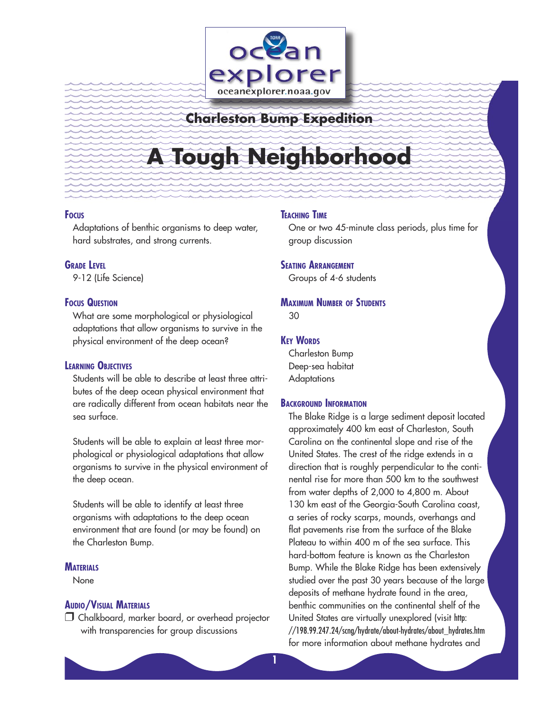

# **Charleston Bump Expedition**

# **A Tough Neighborhood**

#### **FOCUS**

Adaptations of benthic organisms to deep water, hard substrates, and strong currents.

#### **GRADE LEVEL**

9-12 (Life Science)

#### **FOCUS QUESTION**

What are some morphological or physiological adaptations that allow organisms to survive in the physical environment of the deep ocean?

## **LEARNING OBJECTIVES**

Students will be able to describe at least three attributes of the deep ocean physical environment that are radically different from ocean habitats near the sea surface.

Students will be able to explain at least three morphological or physiological adaptations that allow organisms to survive in the physical environment of the deep ocean.

Students will be able to identify at least three organisms with adaptations to the deep ocean environment that are found (or may be found) on the Charleston Bump.

#### **MATERIALS**

None

#### **AUDIO/VISUAL MATERIALS**

 Chalkboard, marker board, or overhead projector with transparencies for group discussions

#### **TEACHING TIME**

One or two 45-minute class periods, plus time for group discussion

#### **SEATING ARRANGEMENT**

Groups of 4-6 students

#### **MAXIMUM NUMBER OF STUDENTS** 30

#### **KEY WORDS**

Charleston Bump Deep-sea habitat **Adaptations** 

#### **BACKGROUND INFORMATION**

The Blake Ridge is a large sediment deposit located approximately 400 km east of Charleston, South Carolina on the continental slope and rise of the United States. The crest of the ridge extends in a direction that is roughly perpendicular to the continental rise for more than 500 km to the southwest from water depths of 2,000 to 4,800 m. About 130 km east of the Georgia-South Carolina coast, a series of rocky scarps, mounds, overhangs and flat pavements rise from the surface of the Blake Plateau to within 400 m of the sea surface. This hard-bottom feature is known as the Charleston Bump. While the Blake Ridge has been extensively studied over the past 30 years because of the large deposits of methane hydrate found in the area, benthic communities on the continental shelf of the United States are virtually unexplored (visit http: //198.99.247.24/scng/hydrate/about-hydrates/about\_hydrates.htm for more information about methane hydrates and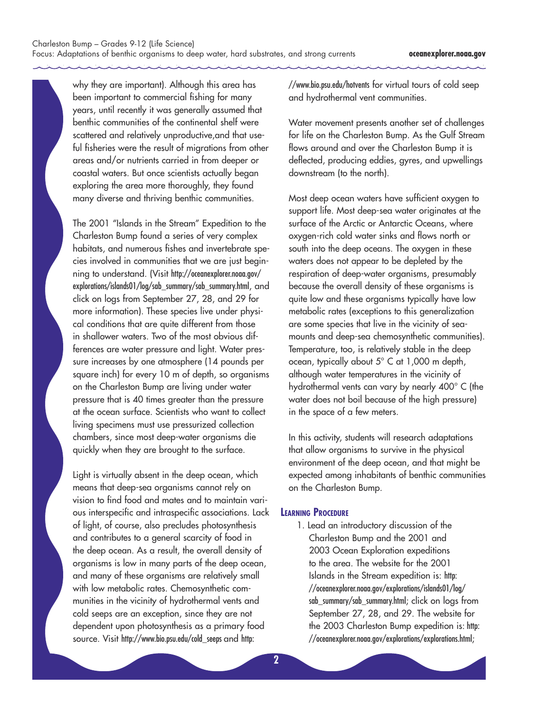why they are important). Although this area has been important to commercial fishing for many years, until recently it was generally assumed that benthic communities of the continental shelf were scattered and relatively unproductive,and that useful fisheries were the result of migrations from other areas and/or nutrients carried in from deeper or coastal waters. But once scientists actually began exploring the area more thoroughly, they found many diverse and thriving benthic communities.

The 2001 "Islands in the Stream" Expedition to the Charleston Bump found a series of very complex habitats, and numerous fishes and invertebrate species involved in communities that we are just beginning to understand. (Visit http://oceanexplorer.noaa.gov/ explorations/islands01/log/sab\_summary/sab\_summary.html, and click on logs from September 27, 28, and 29 for more information). These species live under physical conditions that are quite different from those in shallower waters. Two of the most obvious differences are water pressure and light. Water pressure increases by one atmosphere (14 pounds per square inch) for every 10 m of depth, so organisms on the Charleston Bump are living under water pressure that is 40 times greater than the pressure at the ocean surface. Scientists who want to collect living specimens must use pressurized collection chambers, since most deep-water organisms die quickly when they are brought to the surface.

Light is virtually absent in the deep ocean, which means that deep-sea organisms cannot rely on vision to find food and mates and to maintain various interspecific and intraspecific associations. Lack of light, of course, also precludes photosynthesis and contributes to a general scarcity of food in the deep ocean. As a result, the overall density of organisms is low in many parts of the deep ocean, and many of these organisms are relatively small with low metabolic rates. Chemosynthetic communities in the vicinity of hydrothermal vents and cold seeps are an exception, since they are not dependent upon photosynthesis as a primary food source. Visit http://www.bio.psu.edu/cold\_seeps and http:

//www.bio.psu.edu/hotvents for virtual tours of cold seep and hydrothermal vent communities.

Water movement presents another set of challenges for life on the Charleston Bump. As the Gulf Stream flows around and over the Charleston Bump it is deflected, producing eddies, gyres, and upwellings downstream (to the north).

Most deep ocean waters have sufficient oxygen to support life. Most deep-sea water originates at the surface of the Arctic or Antarctic Oceans, where oxygen-rich cold water sinks and flows north or south into the deep oceans. The oxygen in these waters does not appear to be depleted by the respiration of deep-water organisms, presumably because the overall density of these organisms is quite low and these organisms typically have low metabolic rates (exceptions to this generalization are some species that live in the vicinity of seamounts and deep-sea chemosynthetic communities). Temperature, too, is relatively stable in the deep ocean, typically about 5° C at 1,000 m depth, although water temperatures in the vicinity of hydrothermal vents can vary by nearly 400° C (the water does not boil because of the high pressure) in the space of a few meters.

In this activity, students will research adaptations that allow organisms to survive in the physical environment of the deep ocean, and that might be expected among inhabitants of benthic communities on the Charleston Bump.

#### **LEARNING PROCEDURE**

1. Lead an introductory discussion of the Charleston Bump and the 2001 and 2003 Ocean Exploration expeditions to the area. The website for the 2001 Islands in the Stream expedition is: http: //oceanexplorer.noaa.gov/explorations/islands01/log/ sab\_summary/sab\_summary.html; click on logs from September 27, 28, and 29. The website for the 2003 Charleston Bump expedition is: http: //oceanexplorer.noaa.gov/explorations/explorations.html;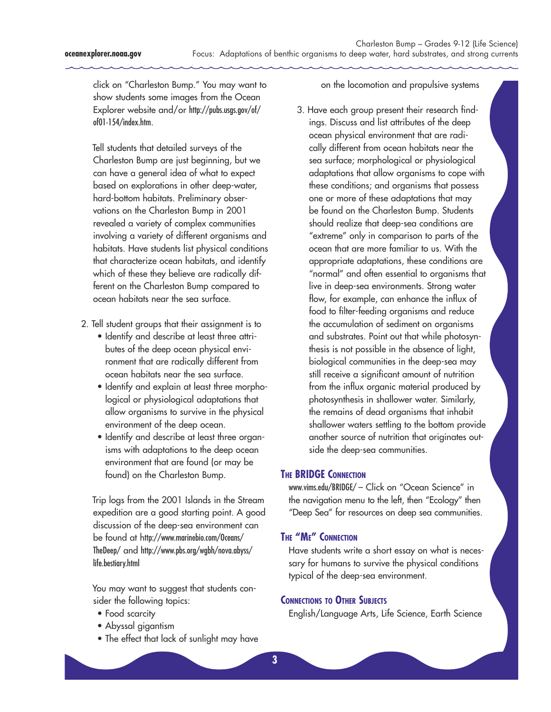click on "Charleston Bump." You may want to show students some images from the Ocean Explorer website and/or http://pubs.usgs.gov/of/ of01-154/index.htm.

 Tell students that detailed surveys of the Charleston Bump are just beginning, but we can have a general idea of what to expect based on explorations in other deep-water, hard-bottom habitats. Preliminary observations on the Charleston Bump in 2001 revealed a variety of complex communities involving a variety of different organisms and habitats. Have students list physical conditions that characterize ocean habitats, and identify which of these they believe are radically different on the Charleston Bump compared to ocean habitats near the sea surface.

- 2. Tell student groups that their assignment is to
	- Identify and describe at least three attributes of the deep ocean physical environment that are radically different from ocean habitats near the sea surface.
	- Identify and explain at least three morphological or physiological adaptations that allow organisms to survive in the physical environment of the deep ocean.
	- Identify and describe at least three organisms with adaptations to the deep ocean environment that are found (or may be found) on the Charleston Bump.

 Trip logs from the 2001 Islands in the Stream expedition are a good starting point. A good discussion of the deep-sea environment can be found at http://www.marinebio.com/Oceans/ TheDeep/ and http://www.pbs.org/wgbh/nova.abyss/ life.bestiary.html

 You may want to suggest that students consider the following topics:

- Food scarcity
- Abyssal gigantism
- The effect that lack of sunlight may have

on the locomotion and propulsive systems

3. Have each group present their research findings. Discuss and list attributes of the deep ocean physical environment that are radically different from ocean habitats near the sea surface; morphological or physiological adaptations that allow organisms to cope with these conditions; and organisms that possess one or more of these adaptations that may be found on the Charleston Bump. Students should realize that deep-sea conditions are "extreme" only in comparison to parts of the ocean that are more familiar to us. With the appropriate adaptations, these conditions are "normal" and often essential to organisms that live in deep-sea environments. Strong water flow, for example, can enhance the influx of food to filter-feeding organisms and reduce the accumulation of sediment on organisms and substrates. Point out that while photosynthesis is not possible in the absence of light, biological communities in the deep-sea may still receive a significant amount of nutrition from the influx organic material produced by photosynthesis in shallower water. Similarly, the remains of dead organisms that inhabit shallower waters settling to the bottom provide another source of nutrition that originates outside the deep-sea communities.

# **THE BRIDGE CONNECTION**

www.vims.edu/BRIDGE/ – Click on "Ocean Science" in the navigation menu to the left, then "Ecology" then "Deep Sea" for resources on deep sea communities.

#### **THE "ME" CONNECTION**

Have students write a short essay on what is necessary for humans to survive the physical conditions typical of the deep-sea environment.

#### **CONNECTIONS TO OTHER SUBJECTS**

English/Language Arts, Life Science, Earth Science